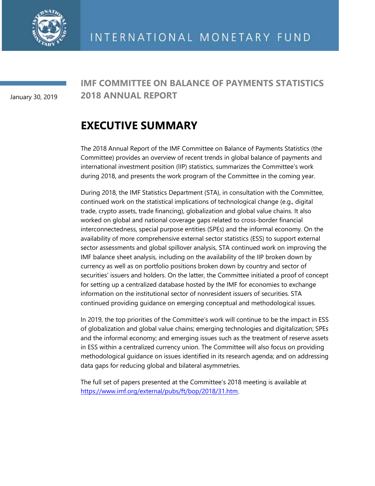

January 30, 2019

### **IMF COMMITTEE ON BALANCE OF PAYMENTS STATISTICS 2018 ANNUAL REPORT**

# **EXECUTIVE SUMMARY**

The 2018 Annual Report of the IMF Committee on Balance of Payments Statistics (the Committee) provides an overview of recent trends in global balance of payments and international investment position (IIP) statistics, summarizes the Committee's work during 2018, and presents the work program of the Committee in the coming year.

During 2018, the IMF Statistics Department (STA), in consultation with the Committee, continued work on the statistical implications of technological change (e.g., digital trade, crypto assets, trade financing), globalization and global value chains. It also worked on global and national coverage gaps related to cross-border financial interconnectedness, special purpose entities (SPEs) and the informal economy*.* On the availability of more comprehensive external sector statistics (ESS) to support external sector assessments and global spillover analysis, STA continued work on improving the IMF balance sheet analysis, including on the availability of the IIP broken down by currency as well as on portfolio positions broken down by country and sector of securities' issuers and holders. On the latter, the Committee initiated a proof of concept for setting up a centralized database hosted by the IMF for economies to exchange information on the institutional sector of nonresident issuers of securities. STA continued providing guidance on emerging conceptual and methodological issues.

In 2019, the top priorities of the Committee's work will continue to be the impact in ESS of globalization and global value chains; emerging technologies and digitalization; SPEs and the informal economy; and emerging issues such as the treatment of reserve assets in ESS within a centralized currency union. The Committee will also focus on providing methodological guidance on issues identified in its research agenda; and on addressing data gaps for reducing global and bilateral asymmetries.

The full set of papers presented at the Committee's 2018 meeting is available at [https://www.imf.org/external/pubs/ft/bop/2018/31.htm.](https://www.imf.org/external/pubs/ft/bop/2018/31.htm)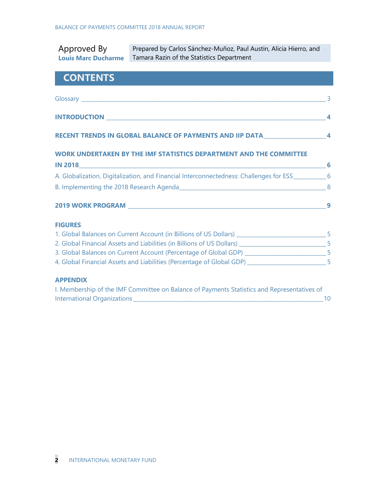| Approved By<br><b>Louis Marc Ducharme</b>                                                             | Prepared by Carlos Sánchez-Muñoz, Paul Austin, Alicia Hierro, and<br>Tamara Razin of the Statistics Department |  |
|-------------------------------------------------------------------------------------------------------|----------------------------------------------------------------------------------------------------------------|--|
| <b>CONTENTS</b>                                                                                       |                                                                                                                |  |
|                                                                                                       |                                                                                                                |  |
|                                                                                                       |                                                                                                                |  |
|                                                                                                       | RECENT TRENDS IN GLOBAL BALANCE OF PAYMENTS AND IIP DATA _______________________4                              |  |
|                                                                                                       | WORK UNDERTAKEN BY THE IMF STATISTICS DEPARTMENT AND THE COMMITTEE                                             |  |
|                                                                                                       |                                                                                                                |  |
| A. Globalization, Digitalization, and Financial Interconnectedness: Challenges for ESS____________6   |                                                                                                                |  |
|                                                                                                       |                                                                                                                |  |
|                                                                                                       |                                                                                                                |  |
| <b>FIGURES</b>                                                                                        |                                                                                                                |  |
| 1. Global Balances on Current Account (in Billions of US Dollars) __________________________________5 |                                                                                                                |  |
| 2. Global Financial Assets and Liabilities (in Billions of US Dollars) _____________________________5 |                                                                                                                |  |
| 3. Global Balances on Current Account (Percentage of Global GDP) ____________________________5        |                                                                                                                |  |
| 4. Global Financial Assets and Liabilities (Percentage of Global GDP) __________________________5     |                                                                                                                |  |

#### **APPENDIX**

| I. Membership of the IMF Committee on Balance of Payments Statistics and Representatives of |  |
|---------------------------------------------------------------------------------------------|--|
| International Organizations                                                                 |  |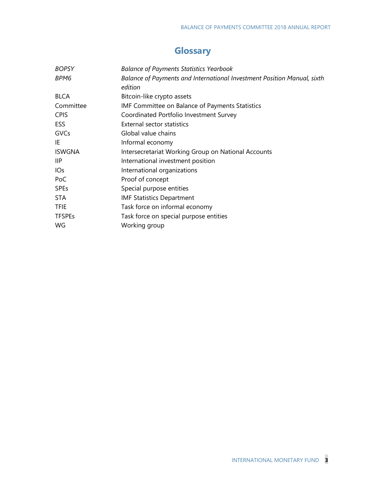## **Glossary**

| <b>BOPSY</b>    | <b>Balance of Payments Statistics Yearbook</b>                          |
|-----------------|-------------------------------------------------------------------------|
| BPM6            | Balance of Payments and International Investment Position Manual, sixth |
|                 | edition                                                                 |
| <b>BLCA</b>     | Bitcoin-like crypto assets                                              |
| Committee       | <b>IMF Committee on Balance of Payments Statistics</b>                  |
| <b>CPIS</b>     | Coordinated Portfolio Investment Survey                                 |
| ESS.            | <b>External sector statistics</b>                                       |
| GVCs            | Global value chains                                                     |
| IE              | Informal economy                                                        |
| <b>ISWGNA</b>   | Intersecretariat Working Group on National Accounts                     |
| IIP             | International investment position                                       |
| IO <sub>S</sub> | International organizations                                             |
| PoC             | Proof of concept                                                        |
| <b>SPEs</b>     | Special purpose entities                                                |
| <b>STA</b>      | <b>IMF Statistics Department</b>                                        |
| <b>TFIE</b>     | Task force on informal economy                                          |
| <b>TFSPEs</b>   | Task force on special purpose entities                                  |
| WG              | Working group                                                           |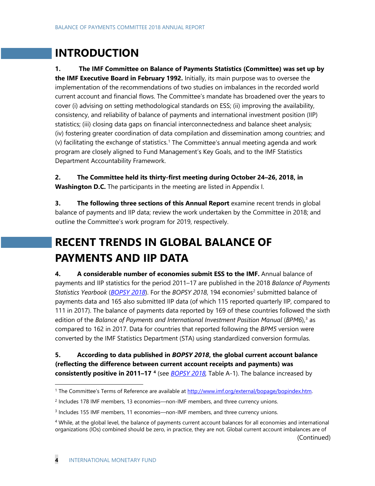# **INTRODUCTION**

**1. The IMF Committee on Balance of Payments Statistics (Committee) was set up by the IMF Executive Board in February 1992.** Initially, its main purpose was to oversee the implementation of the recommendations of two studies on imbalances in the recorded world current account and financial flows. The Committee's mandate has broadened over the years to cover (i) advising on setting methodological standards on ESS; (ii) improving the availability, consistency, and reliability of balance of payments and international investment position (IIP) statistics; (iii) closing data gaps on financial interconnectedness and balance sheet analysis; (iv) fostering greater coordination of data compilation and dissemination among countries; and (v) facilitating the exchange of statistics.[1](#page-3-0) The Committee's annual meeting agenda and work program are closely aligned to Fund Management's Key Goals, and to the IMF Statistics Department Accountability Framework.

**2. The Committee held its thirty-first meeting during October 24–26, 2018, in Washington D.C.** The participants in the meeting are listed in Appendix I.

**3.** The following three sections of this Annual Report examine recent trends in global balance of payments and IIP data; review the work undertaken by the Committee in 2018; and outline the Committee's work program for 2019, respectively.

# **RECENT TRENDS IN GLOBAL BALANCE OF PAYMENTS AND IIP DATA**

**4. A considerable number of economies submit ESS to the IMF.** Annual balance of payments and IIP statistics for the period 2011–17 are published in the 2018 *Balance of Payments Statistics Yearbook ([BOPSY 2018](http://data.imf.org/?sk=edcb50d2-9c8a-4d3d-8b4f-190d2e4be644))*. For the *BOPSY [2](#page-3-1)018*, 194 economies<sup>2</sup> submitted balance of payments data and 165 also submitted IIP data (of which 115 reported quarterly IIP, compared to 111 in 2017). The balance of payments data reported by 169 of these countries followed the sixth edition of the *Balance of Payments and International Investment Position Manual (BPM6)*,<sup>[3](#page-3-2)</sup> as compared to 162 in 2017. Data for countries that reported following the *BPM5* version were converted by the IMF Statistics Department (STA) using standardized conversion formulas.

**5. According to data published in** *BOPSY 2018***, the global current account balance (reflecting the difference between current account receipts and payments) was consistently positive in 2011–17 [4](#page-3-3)** (see *[BOPSY 2018,](http://data.imf.org/?sk=edcb50d2-9c8a-4d3d-8b4f-190d2e4be644)* Table A-1). The balance increased by

(Continued)

<span id="page-3-0"></span><sup>&</sup>lt;sup>1</sup> The Committee's Terms of Reference are available at [http://www.imf.org/external/bopage/bopindex.htm.](http://www.imf.org/external/bopage/bopindex.htm)

<span id="page-3-1"></span><sup>2</sup> Includes 178 IMF members, 13 economies—non-IMF members, and three currency unions.

<span id="page-3-2"></span><sup>3</sup> Includes 155 IMF members, 11 economies—non-IMF members, and three currency unions.

<span id="page-3-3"></span><sup>&</sup>lt;sup>4</sup> While, at the global level, the balance of payments current account balances for all economies and international organizations (IOs) combined should be zero, in practice, they are not. Global current account imbalances are of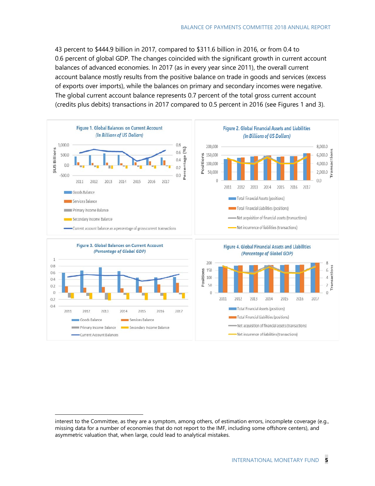43 percent to \$444.9 billion in 2017, compared to \$311.6 billion in 2016, or from 0.4 to 0.6 percent of global GDP. The changes coincided with the significant growth in current account balances of advanced economies. In 2017 (as in every year since 2011), the overall current account balance mostly results from the positive balance on trade in goods and services (excess of exports over imports), while the balances on primary and secondary incomes were negative. The global current account balance represents 0.7 percent of the total gross current account (credits plus debits) transactions in 2017 compared to 0.5 percent in 2016 (see Figures 1 and 3).



 $\ddot{ }$ 

interest to the Committee, as they are a symptom, among others, of estimation errors, incomplete coverage (e.g., missing data for a number of economies that do not report to the IMF, including some offshore centers), and asymmetric valuation that, when large, could lead to analytical mistakes.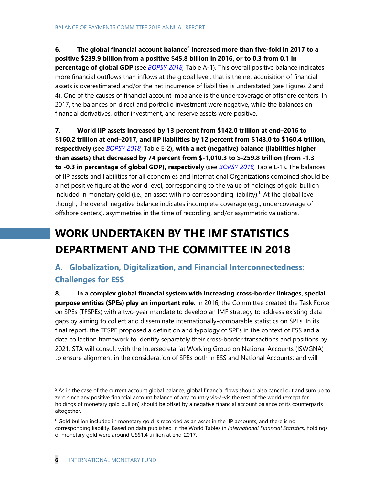**6. The global financial account balance[5](#page-5-0) increased more than five-fold in 2017 to a positive \$239.9 billion from a positive \$45.8 billion in 2016, or to 0.3 from 0.1 in percentage of global GDP** (see *[BOPSY 2018,](http://data.imf.org/?sk=edcb50d2-9c8a-4d3d-8b4f-190d2e4be644)* Table A-1). This overall positive balance indicates more financial outflows than inflows at the global level, that is the net acquisition of financial assets is overestimated and/or the net incurrence of liabilities is understated (see Figures 2 and 4). One of the causes of financial account imbalance is the undercoverage of offshore centers. In 2017, the balances on direct and portfolio investment were negative, while the balances on financial derivatives, other investment, and reserve assets were positive.

**7. World IIP assets increased by 13 percent from \$142.0 trillion at end***–***2016 to \$160.2 trillion at end***–***2017, and IIP liabilities by 12 percent from \$143.0 to \$160.4 trillion, respectively** (see *[BOPSY 2018,](http://data.imf.org/?sk=edcb50d2-9c8a-4d3d-8b4f-190d2e4be644)* Table E-2)**, with a net (negative) balance (liabilities higher than assets) that decreased by 74 percent from \$-1,010.3 to \$-259.8 trillion (from -1.3 to -0.3 in percentage of global GDP), respectively** (see *[BOPSY 2018,](http://data.imf.org/?sk=edcb50d2-9c8a-4d3d-8b4f-190d2e4be644)* Table E-1)**.** The balances of IIP assets and liabilities for all economies and International Organizations combined should be a net positive figure at the world level, corresponding to the value of holdings of gold bullion included in monetary gold (i.e., an asset with no corresponding liability).<sup>[6](#page-5-1)</sup> At the global level though, the overall negative balance indicates incomplete coverage (e.g., undercoverage of offshore centers), asymmetries in the time of recording, and/or asymmetric valuations.

# **WORK UNDERTAKEN BY THE IMF STATISTICS DEPARTMENT AND THE COMMITTEE IN 2018**

### **A. Globalization, Digitalization, and Financial Interconnectedness: Challenges for ESS**

**8. In a complex global financial system with increasing cross-border linkages, special purpose entities (SPEs) play an important role.** In 2016, the Committee created the Task Force on SPEs (TFSPEs) with a two-year mandate to develop an IMF strategy to address existing data gaps by aiming to collect and disseminate internationally-comparable statistics on SPEs. In its final report, the TFSPE proposed a definition and typology of SPEs in the context of ESS and a data collection framework to identify separately their cross-border transactions and positions by 2021. STA will consult with the Intersecretariat Working Group on National Accounts (ISWGNA) to ensure alignment in the consideration of SPEs both in ESS and National Accounts; and will

<span id="page-5-0"></span><sup>&</sup>lt;sup>5</sup> As in the case of the current account global balance, global financial flows should also cancel out and sum up to zero since any positive financial account balance of any country vis-à-vis the rest of the world (except for holdings of monetary gold bullion) should be offset by a negative financial account balance of its counterparts altogether.

<span id="page-5-1"></span> $6$  Gold bullion included in monetary gold is recorded as an asset in the IIP accounts, and there is no corresponding liability. Based on data published in the World Tables in *International Financial Statistics,* holdings of monetary gold were around US\$1.4 trillion at end-2017.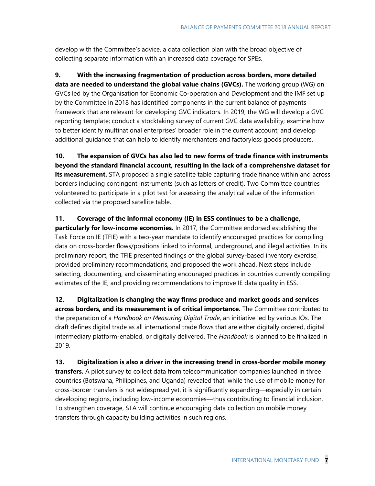develop with the Committee's advice, a data collection plan with the broad objective of collecting separate information with an increased data coverage for SPEs.

**9. With the increasing fragmentation of production across borders, more detailed data are needed to understand the global value chains (GVCs).** The working group (WG) on GVCs led by the Organisation for Economic Co-operation and Development and the IMF set up by the Committee in 2018 has identified components in the current balance of payments framework that are relevant for developing GVC indicators. In 2019, the WG will develop a GVC reporting template; conduct a stocktaking survey of current GVC data availability; examine how to better identify multinational enterprises' broader role in the current account; and develop additional guidance that can help to identify merchanters and factoryless goods producers.

**10. The expansion of GVCs has also led to new forms of trade finance with instruments beyond the standard financial account, resulting in the lack of a comprehensive dataset for**  its measurement. STA proposed a single satellite table capturing trade finance within and across borders including contingent instruments (such as letters of credit). Two Committee countries volunteered to participate in a pilot test for assessing the analytical value of the information collected via the proposed satellite table.

#### **11. Coverage of the informal economy (IE) in ESS continues to be a challenge,**

**particularly for low-income economies.** In 2017, the Committee endorsed establishing the Task Force on IE (TFIE) with a two-year mandate to identify encouraged practices for compiling data on cross-border flows/positions linked to informal, underground, and illegal activities. In its preliminary report, the TFIE presented findings of the global survey-based inventory exercise, provided preliminary recommendations, and proposed the work ahead. Next steps include selecting, documenting, and disseminating encouraged practices in countries currently compiling estimates of the IE; and providing recommendations to improve IE data quality in ESS.

**12. Digitalization is changing the way firms produce and market goods and services across borders, and its measurement is of critical importance.** The Committee contributed to the preparation of a *Handbook on Measuring Digital Trade*, an initiative led by various IOs. The draft defines digital trade as all international trade flows that are either digitally ordered, digital intermediary platform-enabled, or digitally delivered. The *Handbook* is planned to be finalized in 2019.

**13. Digitalization is also a driver in the increasing trend in cross-border mobile money transfers.** A pilot survey to collect data from telecommunication companies launched in three countries (Botswana, Philippines, and Uganda) revealed that, while the use of mobile money for cross-border transfers is not widespread yet, it is significantly expanding—especially in certain developing regions, including low-income economies—thus contributing to financial inclusion. To strengthen coverage, STA will continue encouraging data collection on mobile money transfers through capacity building activities in such regions.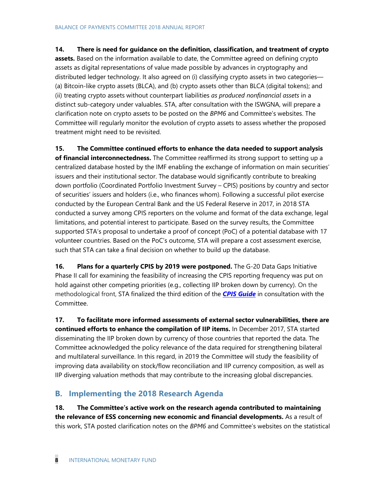#### **14. There is need for guidance on the definition, classification, and treatment of crypto**

**assets.** Based on the information available to date, the Committee agreed on defining crypto assets as digital representations of value made possible by advances in cryptography and distributed ledger technology. It also agreed on (i) classifying crypto assets in two categories— (a) Bitcoin-like crypto assets (BLCA), and (b) crypto assets other than BLCA (digital tokens); and (ii) treating crypto assets without counterpart liabilities *as produced nonfinancial assets* in a distinct sub-category under valuables. STA, after consultation with the ISWGNA, will prepare a clarification note on crypto assets to be posted on the *BPM6* and Committee's websites. The Committee will regularly monitor the evolution of crypto assets to assess whether the proposed treatment might need to be revisited.

**15. The Committee continued efforts to enhance the data needed to support analysis of financial interconnectedness.** The Committee reaffirmed its strong support to setting up a centralized database hosted by the IMF enabling the exchange of information on main securities' issuers and their institutional sector. The database would significantly contribute to breaking down portfolio (Coordinated Portfolio Investment Survey – CPIS) positions by country and sector of securities' issuers and holders (i.e., who finances whom). Following a successful pilot exercise conducted by the European Central Bank and the US Federal Reserve in 2017, in 2018 STA conducted a survey among CPIS reporters on the volume and format of the data exchange, legal limitations, and potential interest to participate. Based on the survey results, the Committee supported STA's proposal to undertake a proof of concept (PoC) of a potential database with 17 volunteer countries. Based on the PoC's outcome, STA will prepare a cost assessment exercise, such that STA can take a final decision on whether to build up the database.

**16. Plans for a quarterly CPIS by 2019 were postponed.** The G-20 Data Gaps Initiative Phase II call for examining the feasibility of increasing the CPIS reporting frequency was put on hold against other competing priorities (e.g., collecting IIP broken down by currency). On the methodological front, STA finalized the third edition of the *[CPIS Guide](http://data.imf.org/?sk=B981B4E3-4E58-467E-9B90-9DE0C3367363&sId=1481574691948)* in consultation with the Committee.

**17. To facilitate more informed assessments of external sector vulnerabilities, there are continued efforts to enhance the compilation of IIP items.** In December 2017, STA started disseminating the IIP broken down by currency of those countries that reported the data. The Committee acknowledged the policy relevance of the data required for strengthening bilateral and multilateral surveillance. In this regard, in 2019 the Committee will study the feasibility of improving data availability on stock/flow reconciliation and IIP currency composition, as well as IIP diverging valuation methods that may contribute to the increasing global discrepancies.

#### **B. Implementing the 2018 Research Agenda**

**18. The Committee's active work on the research agenda contributed to maintaining the relevance of ESS concerning new economic and financial developments.** As a result of this work, STA posted clarification notes on the *BPM6* and Committee's websites on the statistical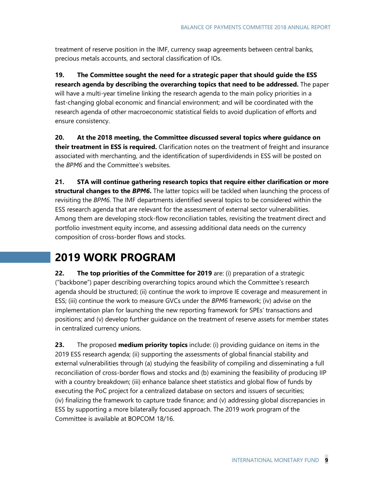treatment of reserve position in the IMF, currency swap agreements between central banks, precious metals accounts, and sectoral classification of IOs.

**19. The Committee sought the need for a strategic paper that should guide the ESS research agenda by describing the overarching topics that need to be addressed.** The paper will have a multi-year timeline linking the research agenda to the main policy priorities in a fast-changing global economic and financial environment; and will be coordinated with the research agenda of other macroeconomic statistical fields to avoid duplication of efforts and ensure consistency.

**20. At the 2018 meeting, the Committee discussed several topics where guidance on their treatment in ESS is required.** Clarification notes on the treatment of freight and insurance associated with merchanting, and the identification of superdividends in ESS will be posted on the *BPM6* and the Committee's websites.

**21. STA will continue gathering research topics that require either clarification or more structural changes to the** *BPM6***.** The latter topics will be tackled when launching the process of revisiting the *BPM6*. The IMF departments identified several topics to be considered within the ESS research agenda that are relevant for the assessment of external sector vulnerabilities. Among them are developing stock-flow reconciliation tables, revisiting the treatment direct and portfolio investment equity income, and assessing additional data needs on the currency composition of cross-border flows and stocks.

## **2019 WORK PROGRAM**

**22. The top priorities of the Committee for 2019** are: (i) preparation of a strategic ("backbone") paper describing overarching topics around which the Committee's research agenda should be structured; (ii) continue the work to improve IE coverage and measurement in ESS; (iii) continue the work to measure GVCs under the *BPM6* framework; (iv) advise on the implementation plan for launching the new reporting framework for SPEs' transactions and positions; and (v) develop further guidance on the treatment of reserve assets for member states in centralized currency unions.

**23.** The proposed **medium priority topics** include: (i) providing guidance on items in the 2019 ESS research agenda; (ii) supporting the assessments of global financial stability and external vulnerabilities through (a) studying the feasibility of compiling and disseminating a full reconciliation of cross-border flows and stocks and (b) examining the feasibility of producing IIP with a country breakdown; (iii) enhance balance sheet statistics and global flow of funds by executing the PoC project for a centralized database on sectors and issuers of securities; (iv) finalizing the framework to capture trade finance; and (v) addressing global discrepancies in ESS by supporting a more bilaterally focused approach. The 2019 work program of the Committee is available at [BOPCOM 18/16.](https://www.imf.org/external/pubs/ft/bop/2018/pdf/18-16.pdf)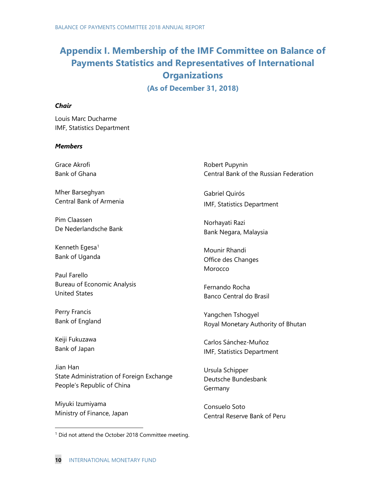# **Appendix I. Membership of the IMF Committee on Balance of Payments Statistics and Representatives of International Organizations**

**(As of December 31, 2018)**

#### *Chair*

Louis Marc Ducharme IMF, Statistics Department

#### *Members*

Grace Akrofi Bank of Ghana

Mher Barseghyan Central Bank of Armenia

Pim Claassen De Nederlandsche Bank

Kenneth Egesa<sup>[1](#page-9-0)</sup> Bank of Uganda

Paul Farello Bureau of Economic Analysis United States

Perry Francis Bank of England

Keiji Fukuzawa Bank of Japan

Jian Han State Administration of Foreign Exchange People's Republic of China

Miyuki Izumiyama Ministry of Finance, Japan Robert Pupynin Central Bank of the Russian Federation

Gabriel Quirós IMF, Statistics Department

Norhayati Razi Bank Negara, Malaysia

Mounir Rhandi Office des Changes Morocco

Fernando Rocha Banco Central do Brasil

Yangchen Tshogyel Royal Monetary Authority of Bhutan

Carlos Sánchez-Muñoz IMF, Statistics Department

Ursula Schipper Deutsche Bundesbank Germany

Consuelo Soto Central Reserve Bank of Peru

<span id="page-9-0"></span><sup>&</sup>lt;sup>1</sup> Did not attend the October 2018 Committee meeting.